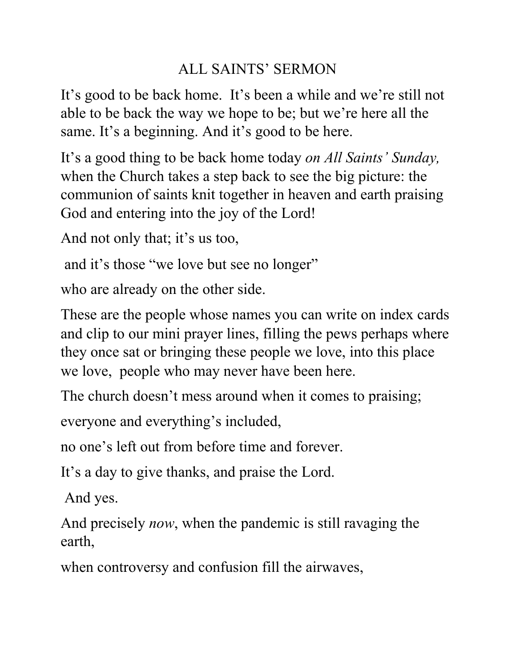## ALL SAINTS' SERMON

It's good to be back home. It's been a while and we're still not able to be back the way we hope to be; but we're here all the same. It's a beginning. And it's good to be here.

It's a good thing to be back home today *on All Saints' Sunday,* when the Church takes a step back to see the big picture: the communion of saints knit together in heaven and earth praising God and entering into the joy of the Lord!

And not only that; it's us too,

and it's those "we love but see no longer"

who are already on the other side.

These are the people whose names you can write on index cards and clip to our mini prayer lines, filling the pews perhaps where they once sat or bringing these people we love, into this place we love, people who may never have been here.

The church doesn't mess around when it comes to praising;

everyone and everything's included,

no one's left out from before time and forever.

It's a day to give thanks, and praise the Lord.

And yes.

And precisely *now*, when the pandemic is still ravaging the earth,

when controversy and confusion fill the airwaves,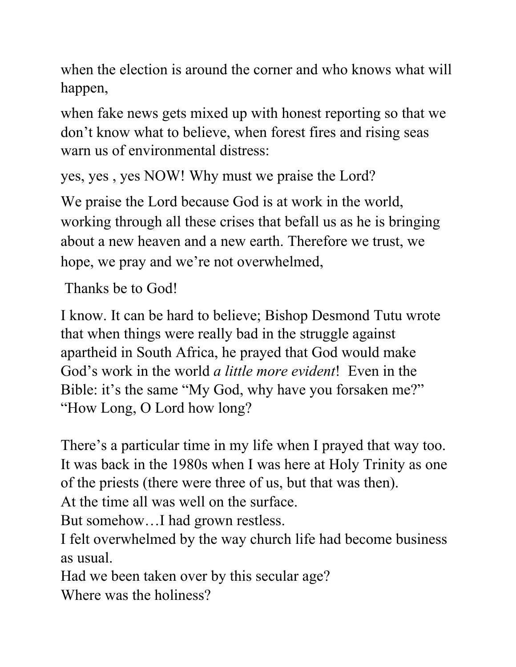when the election is around the corner and who knows what will happen,

when fake news gets mixed up with honest reporting so that we don't know what to believe, when forest fires and rising seas warn us of environmental distress:

```
yes, yes , yes NOW! Why must we praise the Lord?
```
We praise the Lord because God is at work in the world, working through all these crises that befall us as he is bringing about a new heaven and a new earth. Therefore we trust, we hope, we pray and we're not overwhelmed,

Thanks be to God!

I know. It can be hard to believe; Bishop Desmond Tutu wrote that when things were really bad in the struggle against apartheid in South Africa, he prayed that God would make God's work in the world *a little more evident*! Even in the Bible: it's the same "My God, why have you forsaken me?" "How Long, O Lord how long?

There's a particular time in my life when I prayed that way too. It was back in the 1980s when I was here at Holy Trinity as one of the priests (there were three of us, but that was then).

At the time all was well on the surface.

But somehow…I had grown restless.

I felt overwhelmed by the way church life had become business as usual.

Had we been taken over by this secular age?

Where was the holiness?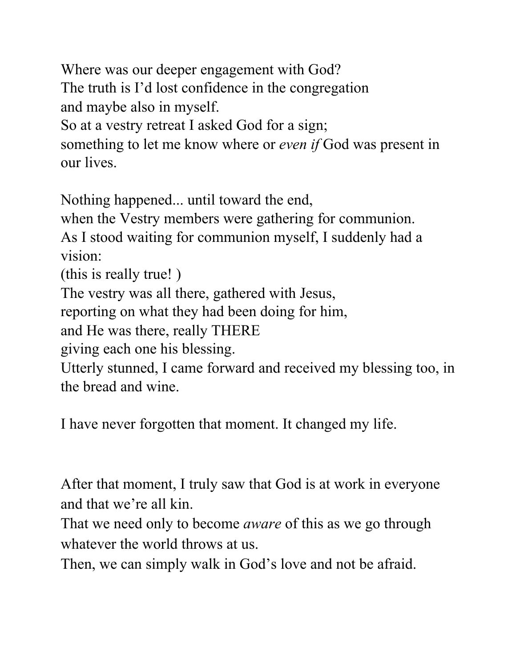Where was our deeper engagement with God? The truth is I'd lost confidence in the congregation and maybe also in myself. So at a vestry retreat I asked God for a sign; something to let me know where or *even if* God was present in our lives.

Nothing happened... until toward the end,

when the Vestry members were gathering for communion. As I stood waiting for communion myself, I suddenly had a vision:

(this is really true! )

The vestry was all there, gathered with Jesus,

reporting on what they had been doing for him,

and He was there, really THERE

giving each one his blessing.

Utterly stunned, I came forward and received my blessing too, in the bread and wine.

I have never forgotten that moment. It changed my life.

After that moment, I truly saw that God is at work in everyone and that we're all kin.

That we need only to become *aware* of this as we go through whatever the world throws at us.

Then, we can simply walk in God's love and not be afraid.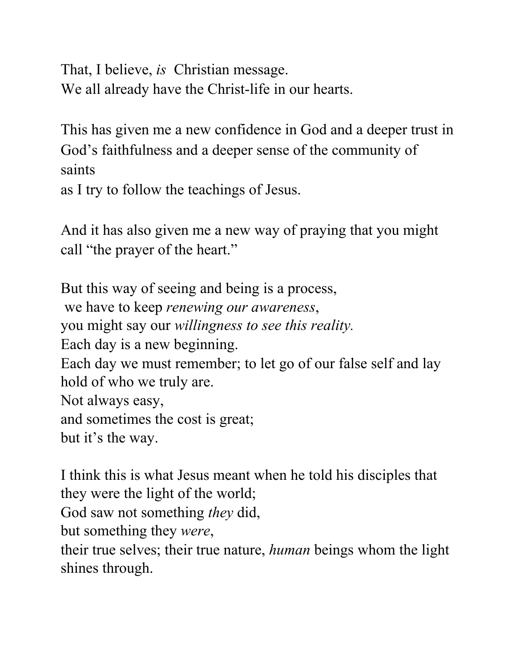That, I believe, *is* Christian message. We all already have the Christ-life in our hearts.

This has given me a new confidence in God and a deeper trust in God's faithfulness and a deeper sense of the community of saints

as I try to follow the teachings of Jesus.

And it has also given me a new way of praying that you might call "the prayer of the heart."

But this way of seeing and being is a process, we have to keep *renewing our awareness*, you might say our *willingness to see this reality.* Each day is a new beginning. Each day we must remember; to let go of our false self and lay hold of who we truly are. Not always easy, and sometimes the cost is great; but it's the way.

I think this is what Jesus meant when he told his disciples that they were the light of the world;

God saw not something *they* did,

but something they *were*,

their true selves; their true nature, *human* beings whom the light shines through.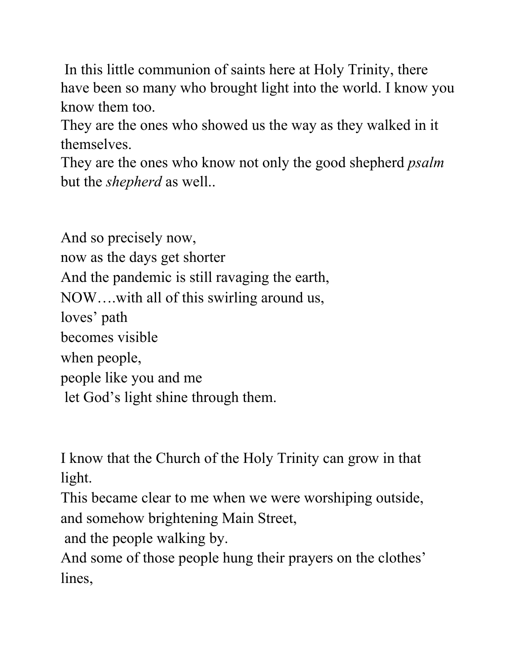In this little communion of saints here at Holy Trinity, there have been so many who brought light into the world. I know you know them too.

They are the ones who showed us the way as they walked in it themselves.

They are the ones who know not only the good shepherd *psalm* but the *shepherd* as well..

And so precisely now, now as the days get shorter And the pandemic is still ravaging the earth, NOW….with all of this swirling around us, loves' path becomes visible when people, people like you and me let God's light shine through them.

I know that the Church of the Holy Trinity can grow in that light.

This became clear to me when we were worshiping outside, and somehow brightening Main Street,

and the people walking by.

And some of those people hung their prayers on the clothes' lines,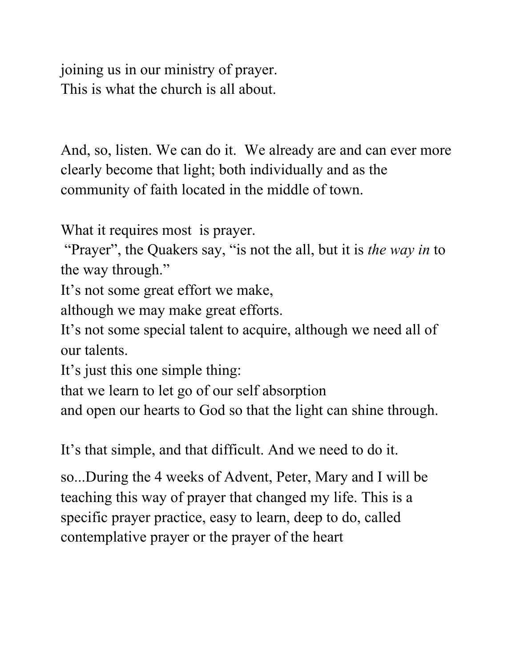joining us in our ministry of prayer. This is what the church is all about.

And, so, listen. We can do it. We already are and can ever more clearly become that light; both individually and as the community of faith located in the middle of town.

What it requires most is prayer.

 "Prayer", the Quakers say, "is not the all, but it is *the way in* to the way through."

It's not some great effort we make,

although we may make great efforts.

It's not some special talent to acquire, although we need all of our talents.

It's just this one simple thing:

that we learn to let go of our self absorption

and open our hearts to God so that the light can shine through.

It's that simple, and that difficult. And we need to do it.

so...During the 4 weeks of Advent, Peter, Mary and I will be teaching this way of prayer that changed my life. This is a specific prayer practice, easy to learn, deep to do, called contemplative prayer or the prayer of the heart